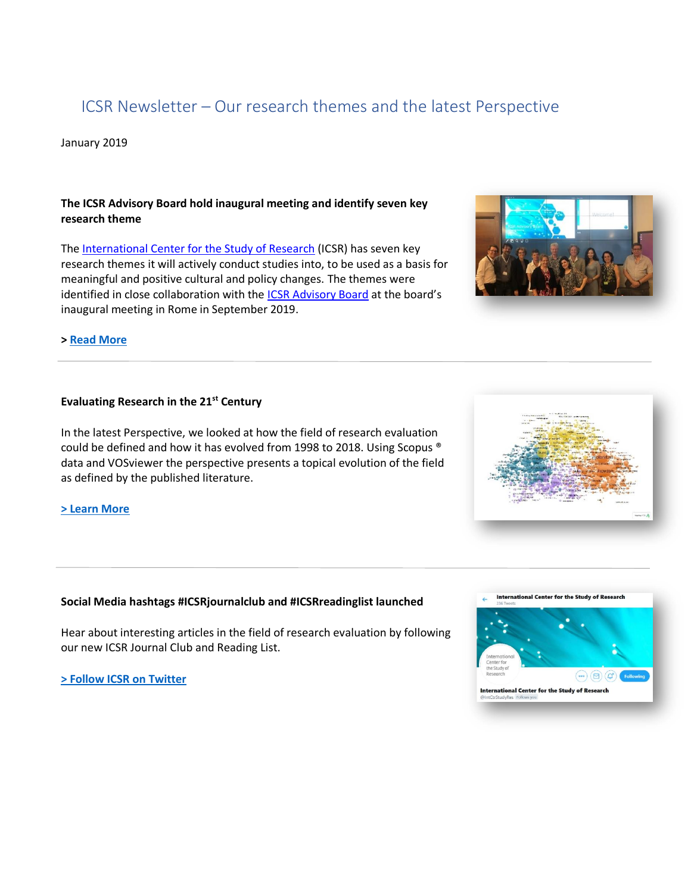# ICSR Newsletter – Our research themes and the latest Perspective

January 2019

# **The ICSR Advisory Board hold inaugural meeting and identify seven key research theme**

The [International Center for the Study of Research](https://www.elsevier.com/icsr) (ICSR) has seven key research themes it will actively conduct studies into, to be used as a basis for meaningful and positive cultural and policy changes. The themes were identified in close collaboration with the **ICSR Advisory Board** at the board's inaugural meeting in Rome in September 2019.



## **> [Read More](https://www.elsevier.com/icsr/research-themes)**

# **Evaluating Research in the 21st Century**

In the latest Perspective, we looked at how the field of research evaluation could be defined and how it has evolved from 1998 to 2018. Using Scopus ® data and VOSviewer the perspective presents a topical evolution of the field as defined by the published literature.

#### **[> Learn More](https://www.elsevier.com/icsr/perspectives/research-evaluation-video)**

#### **Social Media hashtags #ICSRjournalclub and #ICSRreadinglist launched**

Hear about interesting articles in the field of research evaluation by following our new ICSR Journal Club and Reading List.

**[> Follow ICSR on Twitter](https://twitter.com/IntCtrStudyRes)**